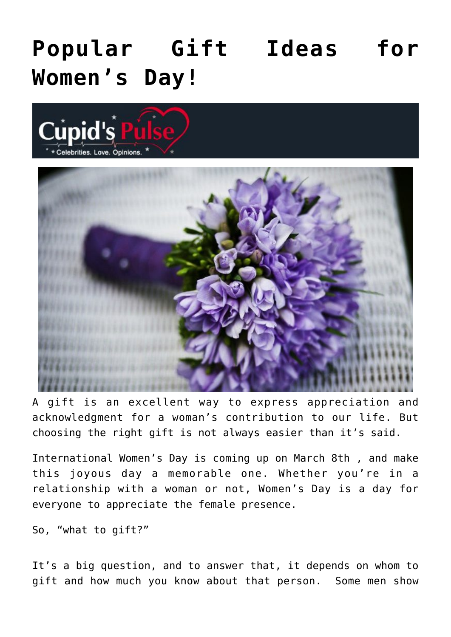# **[Popular Gift Ideas for](https://cupidspulse.com/136591/popular-gift-ideas-for-womens-day/) [Women's Day!](https://cupidspulse.com/136591/popular-gift-ideas-for-womens-day/)**





A gift is an excellent way to express appreciation and acknowledgment for a woman's contribution to our life. But choosing the right gift is not always easier than it's said.

International Women's Day is coming up on March 8th , and make this joyous day a memorable one. Whether you're in a relationship with a woman or not, Women's Day is a day for everyone to appreciate the female presence.

So, "what to gift?"

It's a big question, and to answer that, it depends on whom to gift and how much you know about that person. Some men show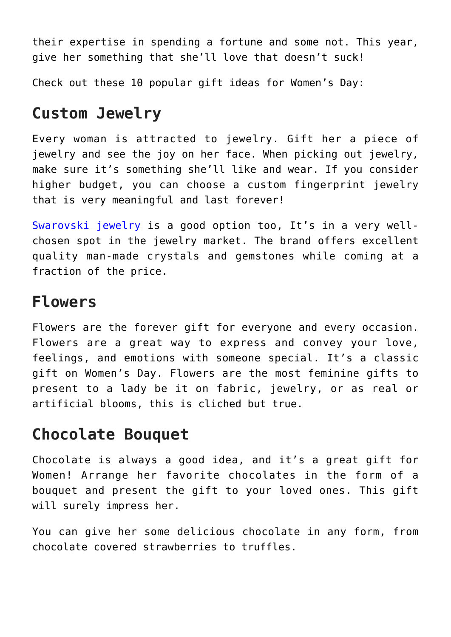their expertise in spending a fortune and some not. This year, give her something that she'll love that doesn't suck!

Check out these 10 popular gift ideas for Women's Day:

## **Custom Jewelry**

Every woman is attracted to jewelry. Gift her a piece of jewelry and see the joy on her face. When picking out jewelry, make sure it's something she'll like and wear. If you consider higher budget, you can choose a custom fingerprint jewelry that is very meaningful and last forever!

[Swarovski jewelry](https://www.mygiftstop.com/collections/swarovski-jewelry) is a good option too, It's in a very wellchosen spot in the jewelry market. The brand offers excellent quality man-made crystals and gemstones while coming at a fraction of the price.

### **Flowers**

Flowers are the forever gift for everyone and every occasion. Flowers are a great way to express and convey your love, feelings, and emotions with someone special. It's a classic gift on Women's Day. Flowers are the most feminine gifts to present to a lady be it on fabric, jewelry, or as real or artificial blooms, this is cliched but true.

## **Chocolate Bouquet**

Chocolate is always a good idea, and it's a great gift for Women! Arrange her favorite chocolates in the form of a bouquet and present the gift to your loved ones. This gift will surely impress her.

You can give her some delicious chocolate in any form, from chocolate covered strawberries to truffles.